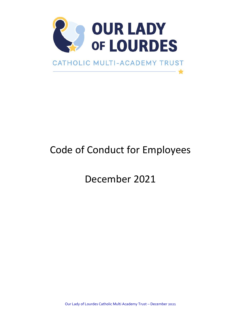

# Code of Conduct for Employees

December 2021

Our Lady of Lourdes Catholic Multi Academy Trust – December 2021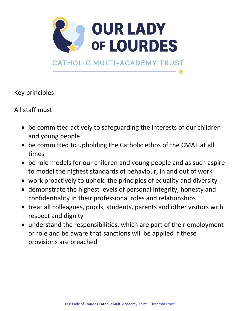

Key principles:

All staff must

- be committed actively to safeguarding the interests of our children and young people
- be committed to upholding the Catholic ethos of the CMAT at all times
- be role models for our children and young people and as such aspire to model the highest standards of behaviour, in and out of work
- work proactively to uphold the principles of equality and diversity
- demonstrate the highest levels of personal integrity, honesty and confidentiality in their professional roles and relationships
- treat all colleagues, pupils, students, parents and other visitors with respect and dignity
- understand the responsibilities, which are part of their employment or role and be aware that sanctions will be applied if these provisions are breached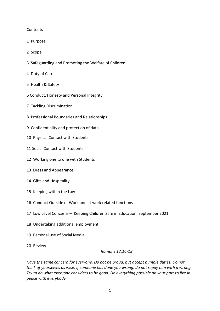# **Contents**

- 1 Purpose
- 2 Scope
- 3 Safeguarding and Promoting the Welfare of Children
- 4 Duty of Care
- 5 Health & Safety
- 6 Conduct, Honesty and Personal Integrity
- 7 Tackling Discrimination
- 8 Professional Boundaries and Relationships
- 9 Confidentiality and protection of data
- 10 Physical Contact with Students
- 11 Social Contact with Students
- 12 Working one to one with Students
- 13 Dress and Appearance
- 14 Gifts and Hospitality
- 15 Keeping within the Law
- 16 Conduct Outside of Work and at work related functions
- 17 Low Level Concerns 'Keeping Children Safe in Education' September 2021
- 18 Undertaking additional employment
- 19 Personal use of Social Media
- 20 Review

#### *Romans 12:16-18*

*Have the same concern for everyone. Do not be proud, but accept humble duties. Do not think of yourselves as wise. If someone has done you wrong, do not repay him with a wrong. Try to do what everyone considers to be good. Do everything possible on your part to live in peace with everybody.*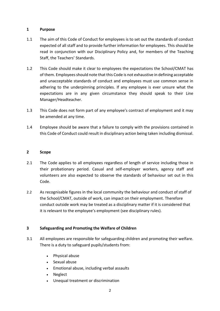# **1 Purpose**

- 1.1 The aim of this Code of Conduct for employees is to set out the standards of conduct expected of all staff and to provide further information for employees. This should be read in conjunction with our Disciplinary Policy and, for members of the Teaching Staff, the Teachers' Standards.
- 1.2 This Code should make it clear to employees the expectations the School/CMAT has of them. Employees should note that this Code is not exhaustive in defining acceptable and unacceptable standards of conduct and employees must use common sense in adhering to the underpinning principles. If any employee is ever unsure what the expectations are in any given circumstance they should speak to their Line Manager/Headteacher.
- 1.3 This Code does not form part of any employee's contract of employment and it may be amended at any time.
- 1.4 Employee should be aware that a failure to comply with the provisions contained in this Code of Conduct could result in disciplinary action being taken including dismissal.

#### **2 Scope**

- 2.1 The Code applies to all employees regardless of length of service including those in their probationary period. Casual and self-employer workers, agency staff and volunteers are also expected to observe the standards of behaviour set out in this Code.
- 2.2 As recognisable figures in the local community the behaviour and conduct of staff of the School/CMAT, outside of work, can impact on their employment. Therefore conduct outside work may be treated as a disciplinary matter if it is considered that it is relevant to the employee's employment (see disciplinary rules).

# **3 Safeguarding and Promoting the Welfare of Children**

- 3.1 All employees are responsible for safeguarding children and promoting their welfare. There is a duty to safeguard pupils/students from:
	- Physical abuse
	- Sexual abuse
	- Emotional abuse, including verbal assaults
	- Neglect
	- Unequal treatment or discrimination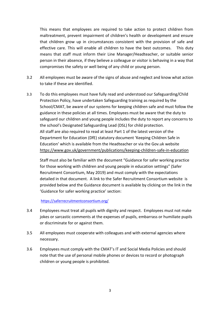This means that employees are required to take action to protect children from maltreatment, prevent impairment of children's health or development and ensure that children grow up in circumstances consistent with the provision of safe and effective care. This will enable all children to have the best outcomes. This duty means that staff must inform their Line Manager/Headteacher, or suitable senior person in their absence, if they believe a colleague or visitor is behaving in a way that compromises the safety or well being of any child or young person.

- 3.2 All employees must be aware of the signs of abuse and neglect and know what action to take if these are identified.
- 3.3 To do this employees must have fully read and understood our Safeguarding/Child Protection Policy, have undertaken Safeguarding training as required by the School/CMAT, be aware of our systems for keeping children safe and must follow the guidance in these policies at all times. Employees must be aware that the duty to safeguard our children and young people includes the duty to report any concerns to the school's Designated Safeguarding Lead (DSL) for child protection. All staff are also required to read at least Part 1 of the latest version of the Department for Education (DfE) statutory document 'Keeping Children Safe in Education' which is available from the Headteacher or via the Gov.uk website <https://www.gov.uk/government/publications/keeping-children-safe-in-education>

Staff must also be familiar with the document "Guidance for safer working practice for those working with children and young people in education settings" (Safer Recruitment Consortium, May 2019) and must comply with the expectations detailed in that document. A link to the Safer Recruitment Consortium website is provided below and the Guidance document is available by clicking on the link in the 'Guidance for safer working practice' section:

#### <https://saferrecruitmentconsortium.org/>

- 3.4 Employees must treat all pupils with dignity and respect. Employees must not make jokes or sarcastic comments at the expenses of pupils, embarrass or humiliate pupils or discriminate for or against them.
- 3.5 All employees must cooperate with colleagues and with external agencies where necessary.
- 3.6 Employees must comply with the CMAT's IT and Social Media Policies and should note that the use of personal mobile phones or devices to record or photograph children or young people is prohibited.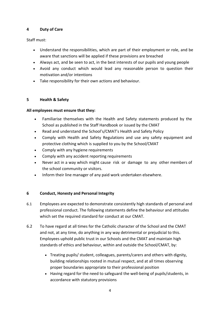# **4 Duty of Care**

Staff must:

- Understand the responsibilities, which are part of their employment or role, and be aware that sanctions will be applied if these provisions are breached
- Always act, and be seen to act, in the best interests of our pupils and young people
- Avoid any conduct which would lead any reasonable person to question their motivation and/or intentions
- Take responsibility for their own actions and behaviour.

# **5 Health & Safety**

# **All employees must ensure that they:**

- Familiarise themselves with the Health and Safety statements produced by the School as published in the Staff Handbook or issued by the CMAT
- Read and understand the School's/CMAT's Health and Safety Policy
- Comply with Health and Safety Regulations and use any safety equipment and protective clothing which is supplied to you by the School/CMAT
- Comply with any hygiene requirements
- Comply with any accident reporting requirements
- Never act in a way which might cause risk or damage to any other members of the school community or visitors.
- Inform their line manager of any paid work undertaken elsewhere.

# **6 Conduct, Honesty and Personal Integrity**

- 6.1 Employees are expected to demonstrate consistently high standards of personal and professional conduct. The following statements define the behaviour and attitudes which set the required standard for conduct at our CMAT.
- 6.2 To have regard at all times for the Catholic character of the School and the CMAT and not, at any time, do anything in any way detrimental or prejudicial to this. Employees uphold public trust in our Schools and the CMAT and maintain high standards of ethics and behaviour, within and outside the School/CMAT, by:
	- Treating pupils/ student, colleagues, parents/carers and others with dignity, building relationships rooted in mutual respect, and at all times observing proper boundaries appropriate to their professional position
	- Having regard for the need to safeguard the well-being of pupils/students, in accordance with statutory provisions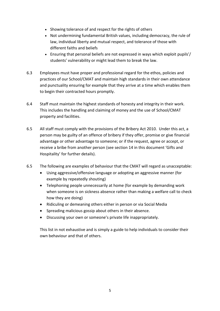- Showing tolerance of and respect for the rights of others
- Not undermining fundamental British values, including democracy, the rule of law, individual liberty and mutual respect, and tolerance of those with different faiths and beliefs
- Ensuring that personal beliefs are not expressed in ways which exploit pupils'/ students' vulnerability or might lead them to break the law.
- 6.3 Employees must have proper and professional regard for the ethos, policies and practices of our School/CMAT and maintain high standards in their own attendance and punctuality ensuring for example that they arrive at a time which enables them to begin their contracted hours promptly.
- 6.4 Staff must maintain the highest standards of honesty and integrity in their work. This includes the handling and claiming of money and the use of School/CMAT property and facilities.
- 6.5 All staff must comply with the provisions of the Bribery Act 2010. Under this act, a person may be guilty of an offence of bribery if they offer, promise or give financial advantage or other advantage to someone; or if the request, agree or accept, or receive a bribe from another person (see section 14 in this document 'Gifts and Hospitality' for further details).
- 6.5 The following are examples of behaviour that the CMAT will regard as unacceptable:
	- Using aggressive/offensive language or adopting an aggressive manner (for example by repeatedly shouting)
	- Telephoning people unnecessarily at home (for example by demanding work when someone is on sickness absence rather than making a welfare call to check how they are doing)
	- Ridiculing or demeaning others either in person or via Social Media
	- Spreading malicious gossip about others in their absence.
	- Discussing your own or someone's private life inappropriately.

This list in not exhaustive and is simply a guide to help individuals to consider their own behaviour and that of others.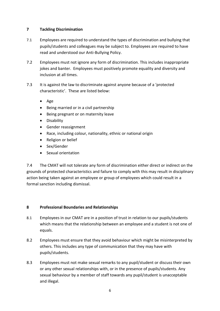# **7 Tackling Discrimination**

- 7.1 Employees are required to understand the types of discrimination and bullying that pupils/students and colleagues may be subject to. Employees are required to have read and understood our Anti-Bullying Policy.
- 7.2 Employees must not ignore any form of discrimination. This includes inappropriate jokes and banter. Employees must positively promote equality and diversity and inclusion at all times.
- 7.3 It is against the law to discriminate against anyone because of a 'protected characteristic'. These are listed below:
	- Age
	- Being married or in a civil partnership
	- Being pregnant or on maternity leave
	- Disability
	- Gender reassignment
	- Race, including colour, nationality, ethnic or national origin
	- Religion or belief
	- Sex/Gender
	- Sexual orientation

7.4 The CMAT will not tolerate any form of discrimination either direct or indirect on the grounds of protected characteristics and failure to comply with this may result in disciplinary action being taken against an employee or group of employees which could result in a formal sanction including dismissal.

# **8 Professional Boundaries and Relationships**

- 8.1 Employees in our CMAT are in a position of trust in relation to our pupils/students which means that the relationship between an employee and a student is not one of equals.
- 8.2 Employees must ensure that they avoid behaviour which might be misinterpreted by others. This includes any type of communication that they may have with pupils/students.
- 8.3 Employees must not make sexual remarks to any pupil/student or discuss their own or any other sexual relationships with, or in the presence of pupils/students. Any sexual behaviour by a member of staff towards any pupil/student is unacceptable and illegal.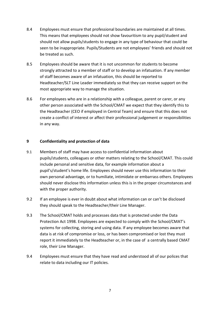- 8.4 Employees must ensure that professional boundaries are maintained at all times. This means that employees should not show favouritism to any pupil/student and should not allow pupils/students to engage in any type of behaviour that could be seen to be inappropriate. Pupils/Students are not employees' friends and should not be treated as such.
- 8.5 Employees should be aware that it is not uncommon for students to become strongly attracted to a member of staff or to develop an infatuation. If any member of staff becomes aware of an infatuation, this should be reported to Headteacher/SLT Line Leader immediately so that they can receive support on the most appropriate way to manage the situation.
- 8.6 For employees who are in a relationship with a colleague, parent or carer, or any other person associated with the School/CMAT we expect that they identify this to the Headteacher (CEO if employed in Central Team) and ensure that this does not create a conflict of interest or affect their professional judgement or responsibilities in any way.

#### **9 Confidentiality and protection of data**

- 9.1 Members of staff may have access to confidential information about pupils/students, colleagues or other matters relating to the School/CMAT. This could include personal and sensitive data, for example information about a pupil's/student's home life. Employees should never use this information to their own personal advantage, or to humiliate, intimidate or embarrass others. Employees should never disclose this information unless this is in the proper circumstances and with the proper authority.
- 9.2 If an employee is ever in doubt about what information can or can't be disclosed they should speak to the Headteacher/their Line Manager.
- 9.3 The School/CMAT holds and processes data that is protected under the Data Protection Act 1998. Employees are expected to comply with the School/CMAT's systems for collecting, storing and using data. If any employee becomes aware that data is at risk of compromise or loss, or has been compromised or lost they must report it immediately to the Headteacher or, in the case of a centrally based CMAT role, their Line Manager.
- 9.4 Employees must ensure that they have read and understood all of our polices that relate to data including our IT policies.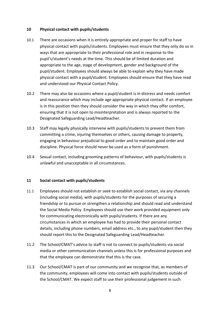#### **10 Physical contact with pupils/students**

- 10.1 There are occasions when it is entirely appropriate and proper for staff to have physical contact with pupils/students. Employees must ensure that they only do so in ways that are appropriate to their professional role and in response to the pupil's/student's needs at the time. This should be of limited duration and appropriate to the age, stage of development, gender and background of the pupil/student. Employees should always be able to explain why they have made physical contact with a pupil/student. Employees should ensure that they have read and understood our Physical Contact Policy.
- 10.2 There may also be occasions where a pupil/student is in distress and needs comfort and reassurance which may include age appropriate physical contact. If an employee is in this position then they should consider the way in which they offer comfort, ensuring that it is not open to misinterpretation and is always reported to the Designated Safeguarding Lead/Headteacher.
- 10.3 Staff may legally physically intervene with pupils/students to prevent them from committing a crime, injuring themselves or others, causing damage to property, engaging in behaviour prejudicial to good order and to maintain good order and discipline. Physical force should never be used as a form of punishment.
- 10.4 Sexual contact, including grooming patterns of behaviour, with pupils/students is unlawful and unacceptable in all circumstances.

#### **11 Social contact with pupils/students**

- 11.1 Employees should not establish or seek to establish social contact, via any channels (including social media), with pupils/students for the purposes of securing a friendship or to pursue or strengthen a relationship and should read and understand the Social Media Policy. Employees should use their work provided equipment only for communicating electronically with pupils/students. If there are any circumstances in which an employee has had to provide their personal contact details, including phone numbers, email address etc., to any pupil/student then they should report this to the Designated Safeguarding Lead/Headteacher.
- 11.2 The School/CMAT's advice to staff is not to connect to pupils/students via social media or other communication channels unless this is for professional purposes and that the employee can demonstrate that this is the case.
- 11.3 Our School/CMAT is part of our community and we recognise that, as members of the community, employees will come into contact with pupils/students outside of the School/CMAT. We expect staff to use their professional judgement in such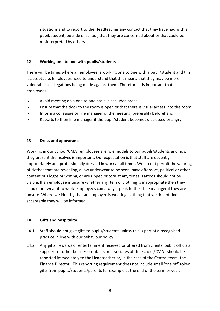situations and to report to the Headteacher any contact that they have had with a pupil/student, outside of school, that they are concerned about or that could be misinterpreted by others.

# **12 Working one to one with pupils/students**

There will be times where an employee is working one to one with a pupil/student and this is acceptable. Employees need to understand that this means that they may be more vulnerable to allegations being made against them. Therefore it is important that employees:

- Avoid meeting on a one to one basis in secluded areas
- Ensure that the door to the room is open or that there is visual access into the room
- Inform a colleague or line manager of the meeting, preferably beforehand
- Reports to their line manager if the pupil/student becomes distressed or angry.

# **13 Dress and appearance**

Working in our School/CMAT employees are role models to our pupils/students and how they present themselves is important. Our expectation is that staff are decently, appropriately and professionally dressed in work at all times. We do not permit the wearing of clothes that are revealing, allow underwear to be seen, have offensive, political or other contentious logos or writing, or are ripped or torn at any times. Tattoos should not be visible. If an employee is unsure whether any item of clothing is inappropriate then they should not wear it to work. Employees can always speak to their line manager if they are unsure. Where we identify that an employee is wearing clothing that we do not find acceptable they will be informed.

# **14 Gifts and hospitality**

- 14.1 Staff should not give gifts to pupils/students unless this is part of a recognised practice in line with our behaviour policy.
- 14.2 Any gifts, rewards or entertainment received or offered from clients, public officials, suppliers or other business contacts or associates of the School/CMAT should be reported immediately to the Headteacher or, in the case of the Central team, the Finance Director. This reporting requirement does not include small 'one off' token gifts from pupils/students/parents for example at the end of the term or year.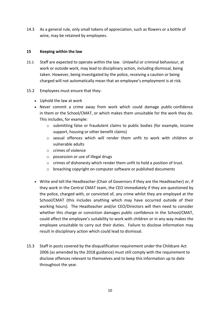14.3 As a general rule, only small tokens of appreciation, such as flowers or a bottle of wine, may be retained by employees.

## **15 Keeping within the law**

- 15.1 Staff are expected to operate within the law. Unlawful or criminal behaviour, at work or outside work, may lead to disciplinary action, including dismissal, being taken. However, being investigated by the police, receiving a caution or being charged will not automatically mean that an employee's employment is at risk.
- 15.2 Employees must ensure that they:
	- Uphold the law at work
	- Never commit a crime away from work which could damage public confidence in them or the School/CMAT, or which makes them unsuitable for the work they do. This includes, for example:
		- o submitting false or fraudulent claims to public bodies (for example, income support, housing or other benefit claims)
		- o sexual offences which will render them unfit to work with children or vulnerable adults
		- o crimes of violence
		- o possession or use of illegal drugs
		- o crimes of dishonesty which render them unfit to hold a position of trust.
		- o breaching copyright on computer software or published documents
	- Write and tell the Headteacher (Chair of Governors if they are the Headteacher) or, if they work in the Central CMAT team, the CEO immediately if they are questioned by the police, charged with, or convicted of, any crime whilst they are employed at the School/CMAT (this includes anything which may have occurred outside of their working hours). The Headteacher and/or CEO/Directors will then need to consider whether this charge or conviction damages public confidence in the School/CMAT, could affect the employee's suitability to work with children or in any way makes the employee unsuitable to carry out their duties. Failure to disclose information may result in disciplinary action which could lead to dismissal.
- 15.3 Staff in posts covered by the disqualification requirement under the Childcare Act 2006 (as amended by the 2018 guidance) must still comply with the requirement to disclose offences relevant to themselves and to keep this information up to date throughout the year.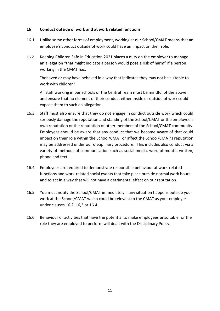#### **16 Conduct outside of work and at work related functions**

- 16.1 Unlike some other forms of employment, working at our School/CMAT means that an employee's conduct outside of work could have an impact on their role.
- 16.2 Keeping Children Safe in Education 2021 places a duty on the employer to manage an allegation "that might indicate a person would pose a risk of harm" if a person working in the CMAT has:

"behaved or may have behaved in a way that indicates they may not be suitable to work with children"

All staff working in our schools or the Central Team must be mindful of the above and ensure that no element of their conduct either inside or outside of work could expose them to such an allegation.

- 16.3 Staff must also ensure that they do not engage in conduct outside work which could seriously damage the reputation and standing of the School/CMAT or the employee's own reputation or the reputation of other members of the School/CMAT community. Employees should be aware that any conduct that we become aware of that could impact on their role within the School/CMAT or affect the School/CMAT's reputation may be addressed under our disciplinary procedure. This includes also conduct via a variety of methods of communication such as social media, word of mouth, written, phone and text.
- 16.4 Employees are required to demonstrate responsible behaviour at work-related functions and work-related social events that take place outside normal work hours and to act in a way that will not have a detrimental effect on our reputation.
- 16.5 You must notify the School/CMAT immediately if any situation happens outside your work at the School/CMAT which could be relevant to the CMAT as your employer under clauses 16.2, 16,3 or 16.4.
- 16.6 Behaviour or activities that have the potential to make employees unsuitable for the role they are employed to perform will dealt with the Disciplinary Policy.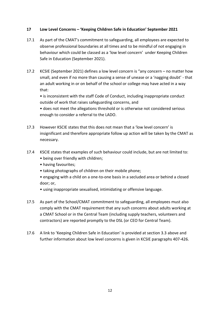# **17 Low Level Concerns – 'Keeping Children Safe in Education' September 2021**

- 17.1 As part of the CMAT's commitment to safeguarding, all employees are expected to observe professional boundaries at all times and to be mindful of not engaging in behaviour which could be classed as a 'low level concern' under Keeping Children Safe in Education (September 2021).
- 17.2 KCSIE (September 2021) defines a low level concern is "any concern no matter how small, and even if no more than causing a sense of unease or a 'nagging doubt' - that an adult working in or on behalf of the school or college may have acted in a way that:

• is inconsistent with the staff Code of Conduct, including inappropriate conduct outside of work that raises safeguarding concerns, and

• does not meet the allegations threshold or is otherwise not considered serious enough to consider a referral to the LADO.

- 17.3 However KSCIE states that this does not mean that a 'low level concern' is insignificant and therefore appropriate follow up action will be taken by the CMAT as necessary.
- 17.4 KSCIE states that examples of such behaviour could include, but are not limited to:
	- being over friendly with children;
	- having favourites;
	- taking photographs of children on their mobile phone;
	- engaging with a child on a one-to-one basis in a secluded area or behind a closed door; or,
	- using inappropriate sexualised, intimidating or offensive language.
- 17.5 As part of the School/CMAT commitment to safeguarding, all employees must also comply with the CMAT requirement that any such concerns about adults working at a CMAT School or in the Central Team (including supply teachers, volunteers and contractors) are reported promptly to the DSL (or CEO for Central Team).
- 17.6 A link to 'Keeping Children Safe in Education' is provided at section 3.3 above and further information about low level concerns is given in KCSIE paragraphs 407-426.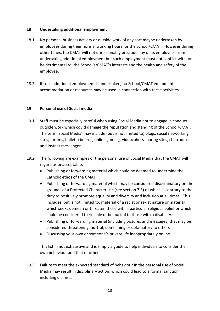### **18 Undertaking additional employment**

- 18.1 No personal business activity or outside work of any sort maybe undertaken by employees during their normal working hours for the School/CMAT. However during other times, the CMAT will not unreasonably preclude any of its employees from undertaking additional employment but such employment must not conflict with, or be detrimental to, the School's/CMAT's interests and the health and safety of the employee.
- 18.2 If such additional employment is undertaken, no School/CMAT equipment, accommodation or resources may be used in connection with these activities.

#### **19 Personal use of Social media**

- 19.1 Staff must be especially careful when using Social Media not to engage in conduct outside work which could damage the reputation and standing of the School/CMAT. The term 'Social Media' may include (but is not limited to) blogs, social networking sites, forums, bulletin boards, online gaming, video/phots sharing sites, chatrooms and instant messenger.
- 19.2 The following are examples of the personal use of Social Media that the CMAT will regard as unacceptable:
	- Publishing or forwarding material which could be deemed to undermine the Catholic ethos of the CMAT
	- Publishing or forwarding material which may be considered discriminatory on the grounds of a Protected Characteristic (see section 7.3) or which is contrary to the duty to positively promote equality and diversity and inclusion at all times. This includes, but is not limited to, material of a racist or sexist nature or material which seeks demean or threaten those with a particular religious belief or which could be considered to ridicule or be hurtful to those with a disability.
	- Publishing or forwarding material (including pictures and messages) that may be considered threatening, hurtful, demeaning or defamatory to others
	- Discussing your own or someone's private life inappropriately online.

This list in not exhaustive and is simply a guide to help individuals to consider their own behaviour and that of others

19.3 Failure to meet the expected standard of behaviour in the personal use of Social Media may result in disciplinary action, which could lead to a formal sanction including dismissal